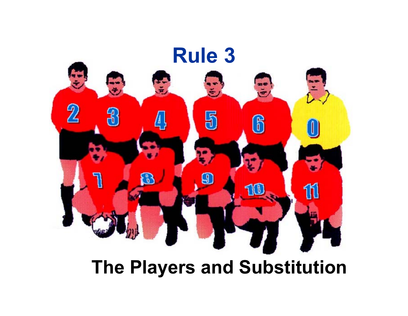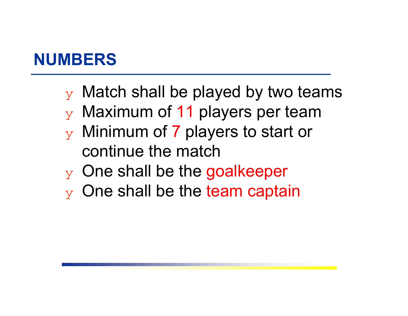#### **NUMBERS**

- $\mathbf y$  Match shall be played by two teams
- $\mathbf y$  Maximum of 11 players per team
- $\mathbf y$  Minimum of  $\mathbf 7$  players to start or continue the match
- $\mathbf y$  One shall be the goalkeeper
- $\mathbf y$  One shall be the team captain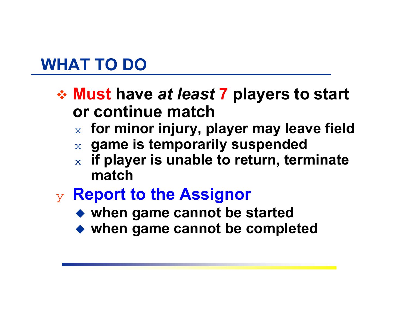### **WHAT TO DO**

- **Must have** *at least* **7 players to start or continue match** 
	- $_\mathrm{\text{x}}\,$  for minor injury, player may leave field
	- $\mathbf{x}$   $\,$  game is temporarily suspended
	- $\overline{\mathbf{X}}$  **if player is unable to return, terminate match**
- ❖ **Report to the Assignor**
	- **when game cannot be started**
	- **when game cannot be completed**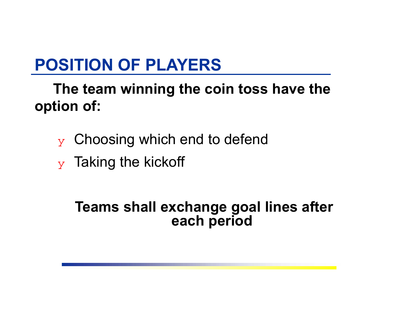# **POSITION OF PLAYERS**

**The team winning the coin toss have the option of:**

- ❖ Choosing which end to defend
- $\mathbf y$  Taking the kickoff

#### **Teams shall exchange goal lines after each period**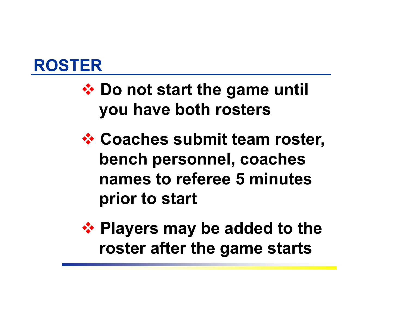

# **♦ Do not start the game until you have both rosters**

- *<b>☆ Coaches submit team roster,* **bench personnel, coaches names to referee 5 minutesprior to start**
- **❖ Players may be added to the roster after the game starts**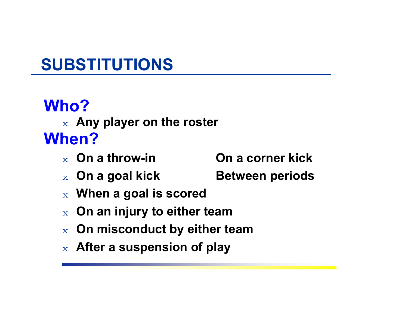# **Who?**

#### $\mathrm{x}$   $\,$  Any player on the roster **When?**

- $\mathbf{x}$  On a throw-in **On a throw-in On a corner kick**
- $\mathbf x$  On a goal kick **Between periods**
- $\boldsymbol{\mathsf{x}}$  . When a goal is scored  $\boldsymbol{\mathsf{x}}$
- $_\mathrm{x}\;$  On an injury to either team
- $_\mathrm{x}$   $\,$  On misconduct by either team
- $\mathrm{_{x}}\;$  After a suspension of play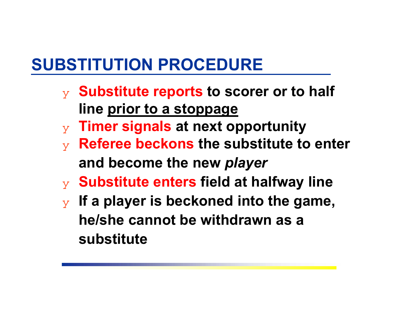# **SUBSTITUTION PROCEDURE**

- ❖ **Substitute reports to scorer or to half line prior to a stoppage**
- ❖ **Timer signals at next opportunity**
- ❖ **Referee beckons the substitute to enter and become the new** *player*
- ❖ **Substitute enters field at halfway line**
- ❖ **If a player is beckoned into the game, he/she cannot be withdrawn as a substitute**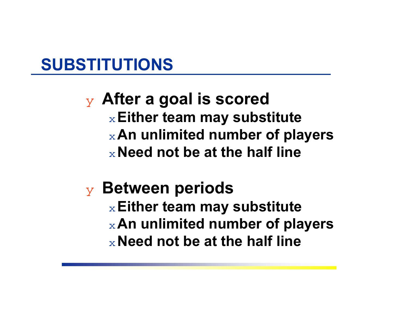❖ **After a goal is scored** ◆**Either team may substitute** ◆**An unlimited number of players** ◆**Need not be at the half line**

❖ **Between periods** ◆**Either team may substitute** ◆**An unlimited number of players** ◆**Need not be at the half line**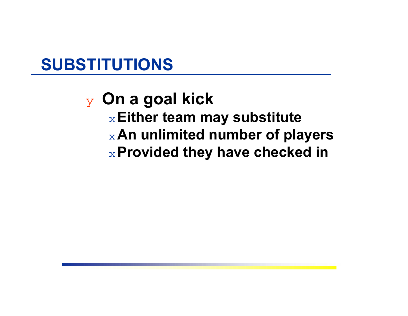#### ❖ **On a goal kick** ◆**Either team may substitute** ◆**An unlimited number of players** ◆**Provided they have checked in**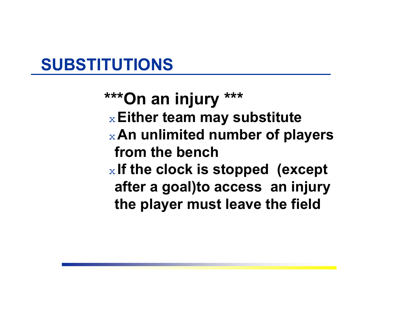**\*\*\*On an injury \*\*\*** ◆**Either team may substitute** ◆**An unlimited number of players from the bench** $_\mathrm{\textcolor{red}{\times}}$  If the clock is stopped  $% \mathbb{R}$  (except  $_{\textcolor{red}{\times}}$ **after a goal)to access an injury the player must leave the field**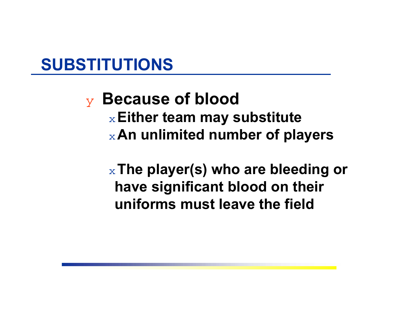❖ **Because of blood** ◆**Either team may substitute** ◆**An unlimited number of players**

◆**The player(s) who are bleeding or have significant blood on their uniforms must leave the field**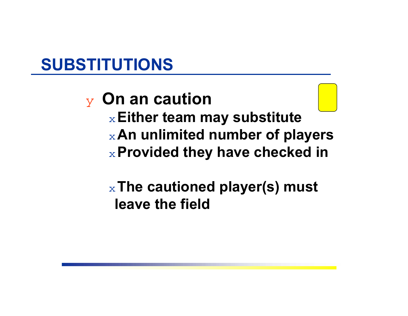#### ❖ **On an caution** ◆**Either team may substitute** ◆**An unlimited number of players** ◆**Provided they have checked in**

#### ◆**The cautioned player(s) must leave the field**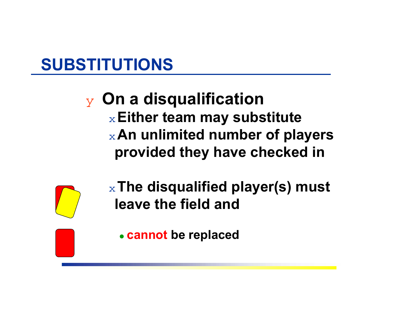#### ❖ **On a disqualification** ◆**Either team may substitute** ◆**An unlimited number of players provided they have checked in**



◆**The disqualified player(s) must leave the field and** 

**cannot be replaced**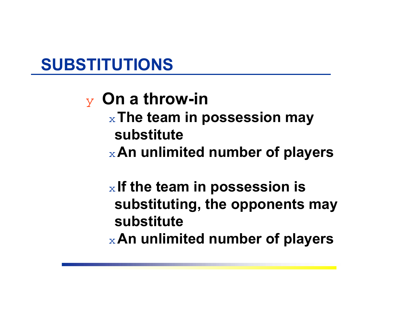### ❖ **On a throw-in**

- ◆**The team in possession may substitute**
- ◆**An unlimited number of players**

# $_\mathrm{\text{x}}$  If the team in possession is  $_\mathrm{\textbf{\textit{t}}}$ **substituting, the opponents may substitute**

◆**An unlimited number of players**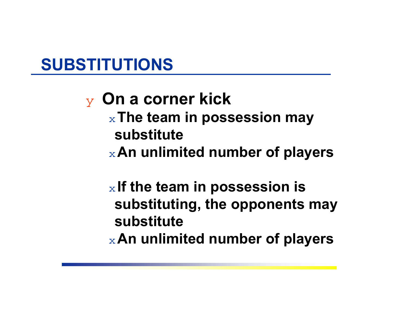#### ❖ **On a corner kick** ◆**The team in possession may substitute**◆**An unlimited number of players**

#### $_\mathrm{\text{x}}$  If the team in possession is  $_\mathrm{\textbf{\textit{t}}}$ **substituting, the opponents may substitute**◆**An unlimited number of players**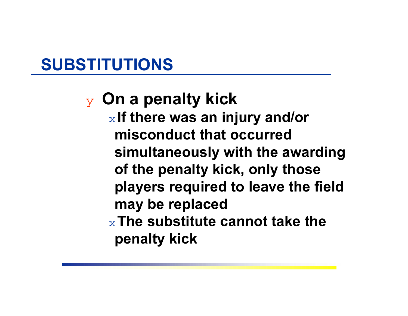❖ **On a penalty kick**  $_\mathrm{\mathrm{\mathrm{\mathbf{x}}}}$  If there was an injury and/or  $_\mathrm{\mathrm{\mathrm{\mathbf{z}}}}$ **misconduct that occurred simultaneously with the awarding of the penalty kick, only those players required to leave the field may be replaced** ◆**The substitute cannot take the penalty kick**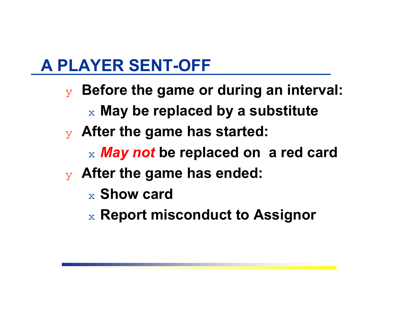## **A PLAYER SENT-OFF**

- ❖ **Before the game or during an interval:**  $\mathrm{_{\mathbf{x}}}$  May be replaced by a substitute
	-
- ❖ **After the game has started:**
	- $\mathbf{x}$  *May not* be replaced on  $\mathbf{a}% =\mathbf{a}$  red card
- ❖ **After the game has ended:**
	- $_\mathrm{\text{x}}$  Show card
	- $\mathrm{_{\mathrm{x}}}$  Report misconduct to Assignor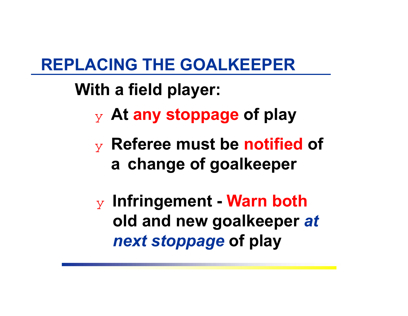## **REPLACING THE GOALKEEPER**

# **With a field player:**

- ❖ **At any stoppage of play**
- ❖ **Referee must be notified of <sup>a</sup> change of goalkeeper**

❖ **Infringement - Warn both old and new goalkeeper** *at next stoppage* **of play**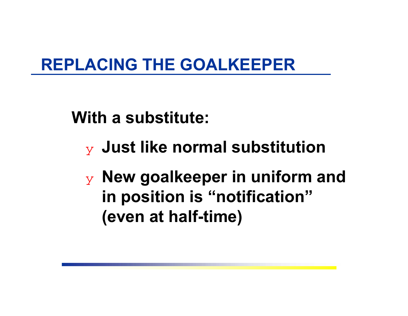# **REPLACING THE GOALKEEPER**

**With a substitute:**

- ❖ **Just like normal substitution**
- ❖ **New goalkeeper in uniform and in position is "notification" (even at half-time)**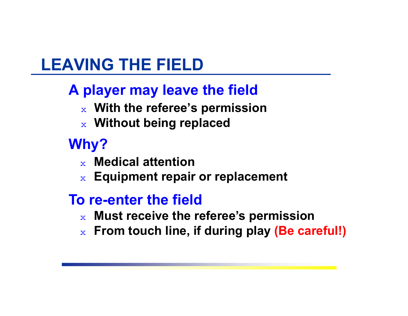# **LEAVING THE FIELD**

#### **A player may leave the field**

- $\mathbf{x}$  With the referee's permission
- $\mathbf{x}$  Without being replaced

#### **Why?**

- $\bf{_x}$  **Medical attention**
- $\mathbf{x}$   $\mathsf{Equipment}$  repair or replacement
- **To re-enter the field**
	- $\mathbf{x}$  Must receive the referee's permission
	- $_\mathrm{x}\;$  From touch line, if during play (Be careful!)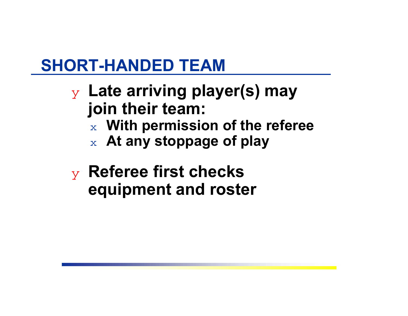# **SHORT-HANDED TEAM**

- ❖ **Late arriving player(s) may join their team:**
	- $\boldsymbol{\mathsf{x}}$  . With permission of the referee  $\boldsymbol{\mathsf{x}}$
	- $\boldsymbol{\mathsf{x}}$   $\boldsymbol{\mathsf{At}}$  any stoppage of play
- ❖ **Referee first checks equipment and roster**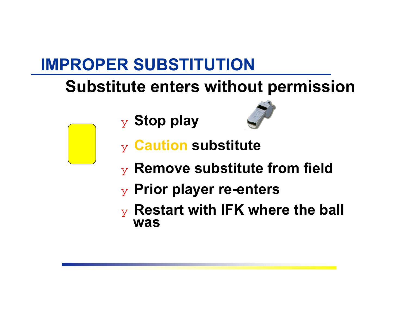# **IMPROPER SUBSTITUTION**

# **Substitute enters without permission**

❖ **Stop play**



- ❖ **Caution substitute**
- ❖ **Remove substitute from field**
- ❖ **Prior player re-enters**
- ❖ **Restart with IFK where the ball was**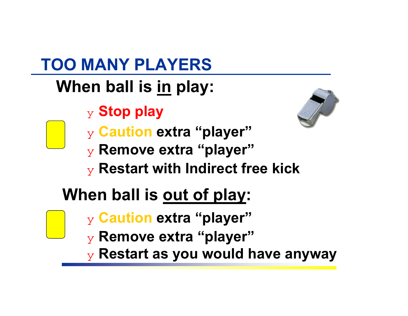# **TOO MANY PLAYERS**

# **When ball is in play:**

❖ **Stop play**



- ❖ **Caution extra "player"**
- ❖ **Remove extra "player"**
- ❖ **Restart with Indirect free kick**

# **When ball is out of play:**

- ❖ **Caution extra "player"**
- ❖ **Remove extra "player"**
- ❖ **Restart as you would have anyway**